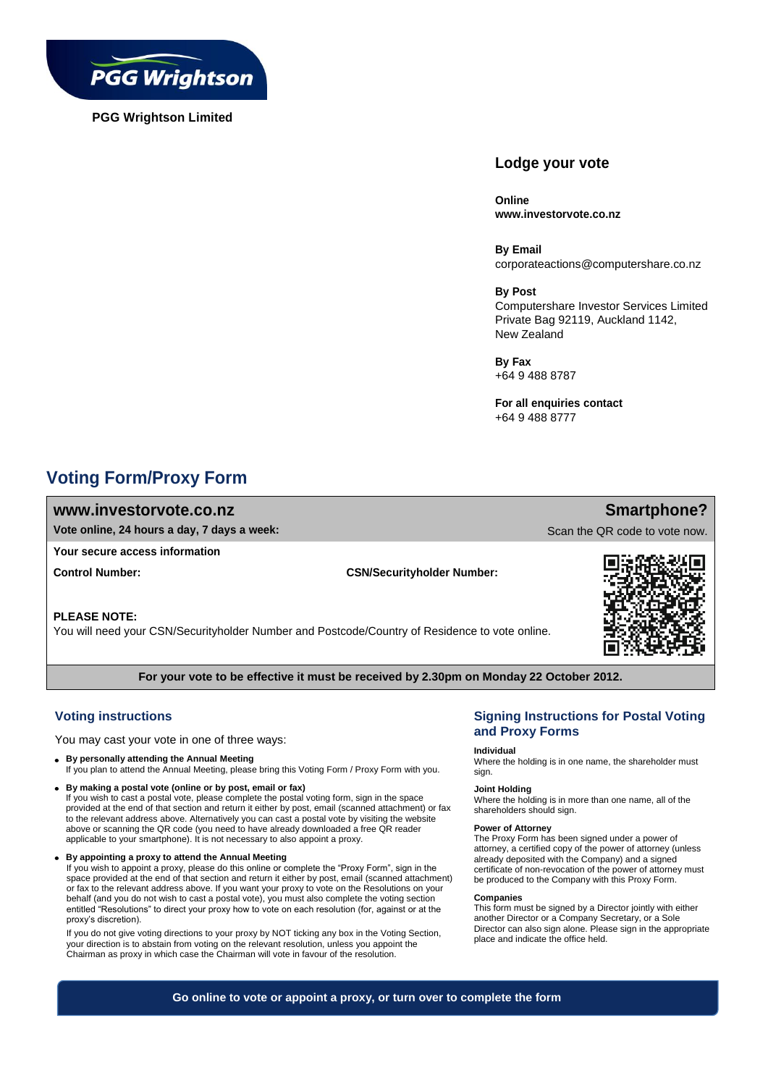

**PGG Wrightson Limited**

# **Lodge your vote**

**Online www.investorvote.co.nz**

**By Email** corporateactions@computershare.co.nz

**By Post**

Computershare Investor Services Limited Private Bag 92119, Auckland 1142, New Zealand

**By Fax** +64 9 488 8787

**For all enquiries contact** +64 9 488 8777

# **Voting Form/Proxy Form**

## **www.investorvote.co.nz**

**Vote online, 24 hours a day, 7 days a week:**

## **Your secure access information**

**Control Number: CSN/Securityholder Number:**

## **PLEASE NOTE:**

You will need your CSN/Securityholder Number and Postcode/Country of Residence to vote online.



**Smartphone?**

Scan the QR code to vote now.

**For your vote to be effective it must be received by 2.30pm on Monday 22 October 2012.**

# **Voting instructions**

You may cast your vote in one of three ways:

- **By personally attending the Annual Meeting** If you plan to attend the Annual Meeting, please bring this Voting Form / Proxy Form with you.
- **By making a postal vote (online or by post, email or fax)**  If you wish to cast a postal vote, please complete the postal voting form, sign in the space
- provided at the end of that section and return it either by post, email (scanned attachment) or fax to the relevant address above. Alternatively you can cast a postal vote by visiting the website above or scanning the QR code (you need to have already downloaded a free QR reader applicable to your smartphone). It is not necessary to also appoint a proxy.
- **By appointing a proxy to attend the Annual Meeting**

If you wish to appoint a proxy, please do this online or complete the "Proxy Form", sign in the space provided at the end of that section and return it either by post, email (scanned attachment) or fax to the relevant address above. If you want your proxy to vote on the Resolutions on your behalf (and you do not wish to cast a postal vote), you must also complete the voting section entitled "Resolutions" to direct your proxy how to vote on each resolution (for, against or at the proxy's discretion).

If you do not give voting directions to your proxy by NOT ticking any box in the Voting Section, your direction is to abstain from voting on the relevant resolution, unless you appoint the Chairman as proxy in which case the Chairman will vote in favour of the resolution.

## **Signing Instructions for Postal Voting and Proxy Forms**

#### **Individual**

Where the holding is in one name, the shareholder must sign.

#### **Joint Holding**

Where the holding is in more than one name, all of the shareholders should sign.

### **Power of Attorney**

The Proxy Form has been signed under a power of attorney, a certified copy of the power of attorney (unless already deposited with the Company) and a signed certificate of non-revocation of the power of attorney must be produced to the Company with this Proxy Form.

#### **Companies**

This form must be signed by a Director jointly with either another Director or a Company Secretary, or a Sole Director can also sign alone. Please sign in the appropriate place and indicate the office held.